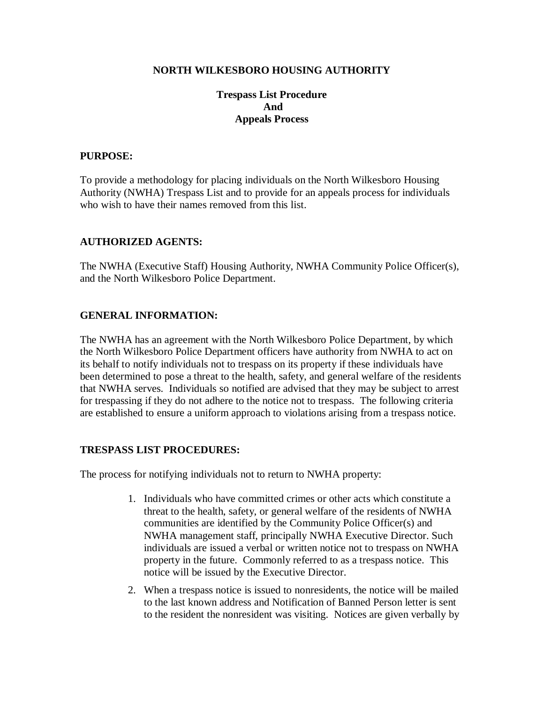### **NORTH WILKESBORO HOUSING AUTHORITY**

## **Trespass List Procedure And Appeals Process**

### **PURPOSE:**

To provide a methodology for placing individuals on the North Wilkesboro Housing Authority (NWHA) Trespass List and to provide for an appeals process for individuals who wish to have their names removed from this list.

### **AUTHORIZED AGENTS:**

The NWHA (Executive Staff) Housing Authority, NWHA Community Police Officer(s), and the North Wilkesboro Police Department.

### **GENERAL INFORMATION:**

The NWHA has an agreement with the North Wilkesboro Police Department, by which the North Wilkesboro Police Department officers have authority from NWHA to act on its behalf to notify individuals not to trespass on its property if these individuals have been determined to pose a threat to the health, safety, and general welfare of the residents that NWHA serves. Individuals so notified are advised that they may be subject to arrest for trespassing if they do not adhere to the notice not to trespass. The following criteria are established to ensure a uniform approach to violations arising from a trespass notice.

#### **TRESPASS LIST PROCEDURES:**

The process for notifying individuals not to return to NWHA property:

- 1. Individuals who have committed crimes or other acts which constitute a threat to the health, safety, or general welfare of the residents of NWHA communities are identified by the Community Police Officer(s) and NWHA management staff, principally NWHA Executive Director. Such individuals are issued a verbal or written notice not to trespass on NWHA property in the future. Commonly referred to as a trespass notice. This notice will be issued by the Executive Director.
- 2. When a trespass notice is issued to nonresidents, the notice will be mailed to the last known address and Notification of Banned Person letter is sent to the resident the nonresident was visiting. Notices are given verbally by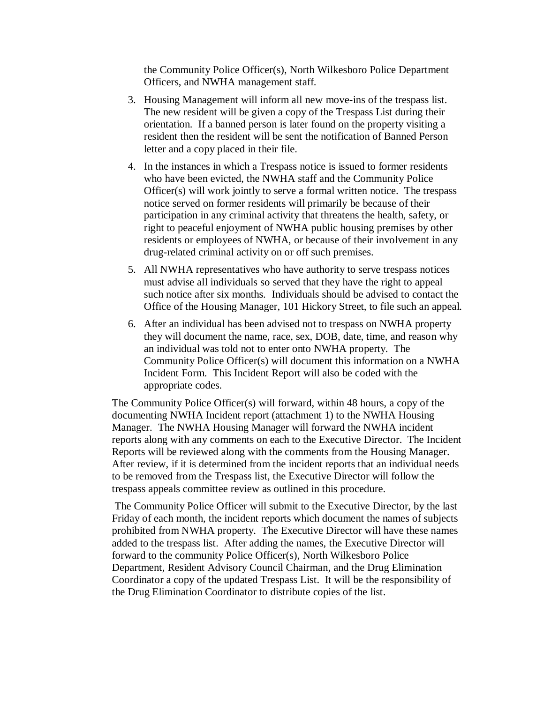the Community Police Officer(s), North Wilkesboro Police Department Officers, and NWHA management staff.

- 3. Housing Management will inform all new move-ins of the trespass list. The new resident will be given a copy of the Trespass List during their orientation. If a banned person is later found on the property visiting a resident then the resident will be sent the notification of Banned Person letter and a copy placed in their file.
- 4. In the instances in which a Trespass notice is issued to former residents who have been evicted, the NWHA staff and the Community Police Officer(s) will work jointly to serve a formal written notice. The trespass notice served on former residents will primarily be because of their participation in any criminal activity that threatens the health, safety, or right to peaceful enjoyment of NWHA public housing premises by other residents or employees of NWHA, or because of their involvement in any drug-related criminal activity on or off such premises.
- 5. All NWHA representatives who have authority to serve trespass notices must advise all individuals so served that they have the right to appeal such notice after six months. Individuals should be advised to contact the Office of the Housing Manager, 101 Hickory Street, to file such an appeal.
- 6. After an individual has been advised not to trespass on NWHA property they will document the name, race, sex, DOB, date, time, and reason why an individual was told not to enter onto NWHA property. The Community Police Officer(s) will document this information on a NWHA Incident Form. This Incident Report will also be coded with the appropriate codes.

The Community Police Officer(s) will forward, within 48 hours, a copy of the documenting NWHA Incident report (attachment 1) to the NWHA Housing Manager. The NWHA Housing Manager will forward the NWHA incident reports along with any comments on each to the Executive Director. The Incident Reports will be reviewed along with the comments from the Housing Manager. After review, if it is determined from the incident reports that an individual needs to be removed from the Trespass list, the Executive Director will follow the trespass appeals committee review as outlined in this procedure.

The Community Police Officer will submit to the Executive Director, by the last Friday of each month, the incident reports which document the names of subjects prohibited from NWHA property. The Executive Director will have these names added to the trespass list. After adding the names, the Executive Director will forward to the community Police Officer(s), North Wilkesboro Police Department, Resident Advisory Council Chairman, and the Drug Elimination Coordinator a copy of the updated Trespass List. It will be the responsibility of the Drug Elimination Coordinator to distribute copies of the list.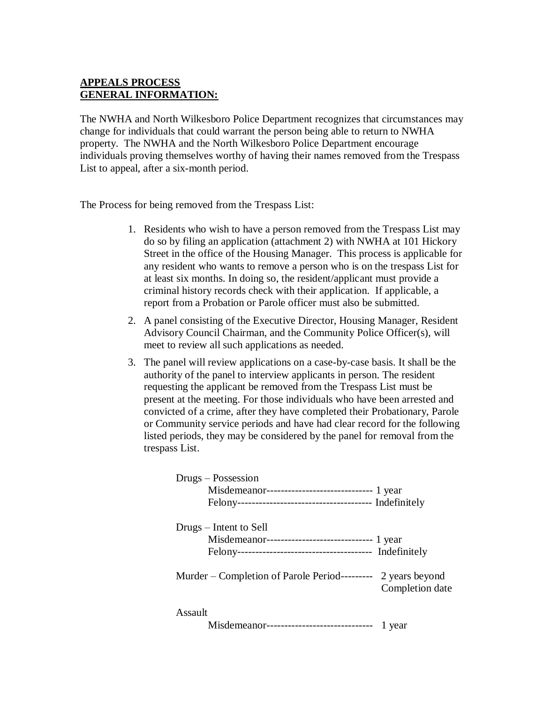# **APPEALS PROCESS GENERAL INFORMATION:**

The NWHA and North Wilkesboro Police Department recognizes that circumstances may change for individuals that could warrant the person being able to return to NWHA property. The NWHA and the North Wilkesboro Police Department encourage individuals proving themselves worthy of having their names removed from the Trespass List to appeal, after a six-month period.

The Process for being removed from the Trespass List:

- 1. Residents who wish to have a person removed from the Trespass List may do so by filing an application (attachment 2) with NWHA at 101 Hickory Street in the office of the Housing Manager. This process is applicable for any resident who wants to remove a person who is on the trespass List for at least six months. In doing so, the resident/applicant must provide a criminal history records check with their application. If applicable, a report from a Probation or Parole officer must also be submitted.
- 2. A panel consisting of the Executive Director, Housing Manager, Resident Advisory Council Chairman, and the Community Police Officer(s), will meet to review all such applications as needed.
- 3. The panel will review applications on a case-by-case basis. It shall be the authority of the panel to interview applicants in person. The resident requesting the applicant be removed from the Trespass List must be present at the meeting. For those individuals who have been arrested and convicted of a crime, after they have completed their Probationary, Parole or Community service periods and have had clear record for the following listed periods, they may be considered by the panel for removal from the trespass List.

| Drugs – Possession                               |                                   |
|--------------------------------------------------|-----------------------------------|
| Misdemeanor------------------------------ 1 year |                                   |
|                                                  |                                   |
| Drugs – Intent to Sell                           |                                   |
| Misdemeanor------------------------------ 1 year |                                   |
|                                                  |                                   |
| Murder – Completion of Parole Period---------    | 2 years beyond<br>Completion date |
| Assault                                          |                                   |
| Misdemeanor-----------------------------         | 1 year                            |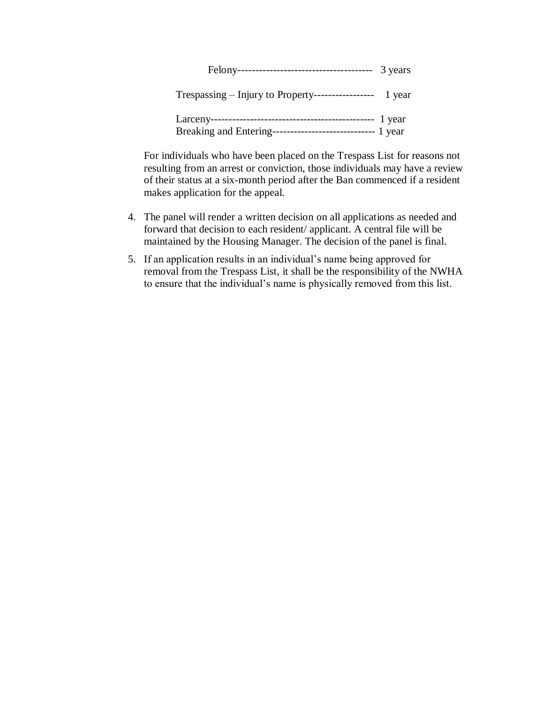|                                                           | 3 years |  |
|-----------------------------------------------------------|---------|--|
| Trespassing – Injury to Property------------------ 1 year |         |  |
|                                                           | 1 year  |  |

| Breaking and Entering------------------------------ 1 year |  |
|------------------------------------------------------------|--|

For individuals who have been placed on the Trespass List for reasons not resulting from an arrest or conviction, those individuals may have a review of their status at a six-month period after the Ban commenced if a resident makes application for the appeal.

- 4. The panel will render a written decision on all applications as needed and forward that decision to each resident/ applicant. A central file will be maintained by the Housing Manager. The decision of the panel is final.
- 5. If an application results in an individual's name being approved for removal from the Trespass List, it shall be the responsibility of the NWHA to ensure that the individual's name is physically removed from this list.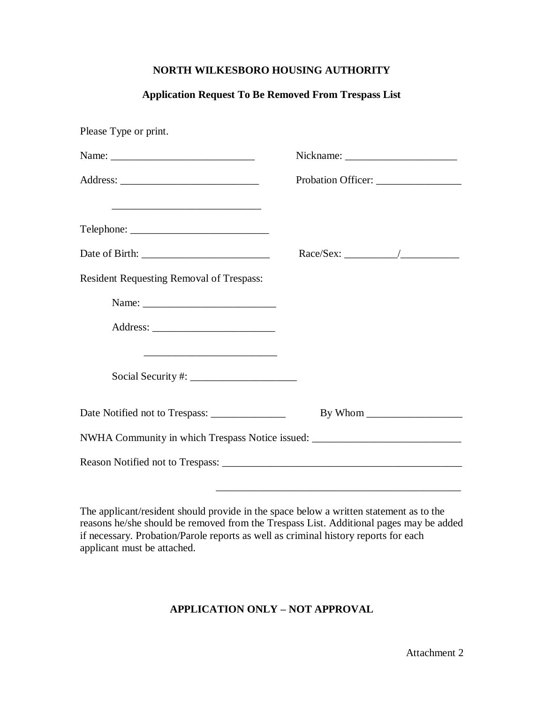### **NORTH WILKESBORO HOUSING AUTHORITY**

# **Application Request To Be Removed From Trespass List**

| <u> 1999 - Johann Barn, amerikansk politiker (</u>                                                                                                                                                                                   |  |
|--------------------------------------------------------------------------------------------------------------------------------------------------------------------------------------------------------------------------------------|--|
|                                                                                                                                                                                                                                      |  |
| Resident Requesting Removal of Trespass:                                                                                                                                                                                             |  |
|                                                                                                                                                                                                                                      |  |
|                                                                                                                                                                                                                                      |  |
| <u> 2000 - John Harry Harry Harry Harry Harry Harry Harry Harry Harry Harry Harry Harry Harry Harry Harry Harry Harry Harry Harry Harry Harry Harry Harry Harry Harry Harry Harry Harry Harry Harry Harry Harry Harry Harry Harr</u> |  |
|                                                                                                                                                                                                                                      |  |
| NWHA Community in which Trespass Notice issued: ________________________________                                                                                                                                                     |  |
|                                                                                                                                                                                                                                      |  |

The applicant/resident should provide in the space below a written statement as to the reasons he/she should be removed from the Trespass List. Additional pages may be added if necessary. Probation/Parole reports as well as criminal history reports for each applicant must be attached.

### **APPLICATION ONLY – NOT APPROVAL**